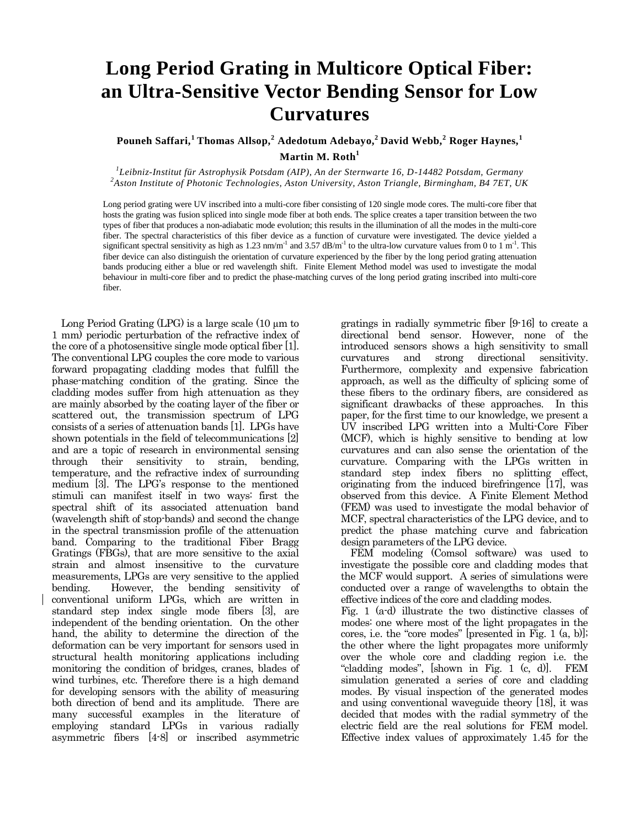## **Long Period Grating in Multicore Optical Fiber: an Ultra-Sensitive Vector Bending Sensor for Low Curvatures**

**Pouneh Saffari,<sup>1</sup>Thomas Allsop,<sup>2</sup> [Adedotum Adebayo,](http://www1.aston.ac.uk/eas/research/groups/photonics/aipt-members/adedotun-adebayo/) <sup>2</sup>David Webb,<sup>2</sup> Roger Haynes,<sup>1</sup> Martin M. Roth<sup>1</sup>**

*1 Leibniz-Institut für Astrophysik Potsdam (AIP), An der Sternwarte 16, D-14482 Potsdam, Germany <sup>2</sup>Aston Institute of Photonic Technologies, Aston University, Aston Triangle, Birmingham, B4 7ET, UK*

Long period grating were UV inscribed into a multi-core fiber consisting of 120 single mode cores. The multi-core fiber that hosts the grating was fusion spliced into single mode fiber at both ends. The splice creates a taper transition between the two types of fiber that produces a non-adiabatic mode evolution; this results in the illumination of all the modes in the multi-core fiber. The spectral characteristics of this fiber device as a function of curvature were investigated. The device yielded a significant spectral sensitivity as high as 1.23 nm/m<sup>-1</sup> and 3.57 dB/m<sup>-1</sup> to the ultra-low curvature values from 0 to 1 m<sup>-1</sup>. This fiber device can also distinguish the orientation of curvature experienced by the fiber by the long period grating attenuation bands producing either a blue or red wavelength shift. Finite Element Method model was used to investigate the modal behaviour in multi-core fiber and to predict the phase-matching curves of the long period grating inscribed into multi-core fiber.

Long Period Grating (LPG) is a large scale  $(10 \mu m)$  to 1 mm) periodic perturbation of the refractive index of the core of a photosensitive single mode optical fiber [1]. The conventional LPG couples the core mode to various forward propagating cladding modes that fulfill the phase-matching condition of the grating. Since the cladding modes suffer from high attenuation as they are mainly absorbed by the coating layer of the fiber or scattered out, the transmission spectrum of LPG consists of a series of attenuation bands [1]. LPGs have shown potentials in the field of telecommunications [2] and are a topic of research in environmental sensing through their sensitivity to strain, bending, temperature, and the refractive index of surrounding medium [3]. The LPG's response to the mentioned stimuli can manifest itself in two ways: first the spectral shift of its associated attenuation band (wavelength shift of stop-bands) and second the change in the spectral transmission profile of the attenuation band. Comparing to the traditional Fiber Bragg Gratings (FBGs), that are more sensitive to the axial strain and almost insensitive to the curvature measurements, LPGs are very sensitive to the applied bending. However, the bending sensitivity of conventional uniform LPGs, which are written in standard step index single mode fibers [3], are independent of the bending orientation. On the other hand, the ability to determine the direction of the deformation can be very important for sensors used in structural health monitoring applications including monitoring the condition of bridges, cranes, blades of wind turbines, etc. Therefore there is a high demand for developing sensors with the ability of measuring both direction of bend and its amplitude. There are many successful examples in the literature of employing standard LPGs in various radially asymmetric fibers [4-8] or inscribed asymmetric

gratings in radially symmetric fiber [9-16] to create a directional bend sensor. However, none of the introduced sensors shows a high sensitivity to small curvatures and strong directional sensitivity. Furthermore, complexity and expensive fabrication approach, as well as the difficulty of splicing some of these fibers to the ordinary fibers, are considered as significant drawbacks of these approaches. In this paper, for the first time to our knowledge, we present a UV inscribed LPG written into a Multi-Core Fiber (MCF), which is highly sensitive to bending at low curvatures and can also sense the orientation of the curvature. Comparing with the LPGs written in standard step index fibers no splitting effect, originating from the induced birefringence [17], was observed from this device. A Finite Element Method (FEM) was used to investigate the modal behavior of MCF, spectral characteristics of the LPG device, and to predict the phase matching curve and fabrication design parameters of the LPG device.

FEM modeling (Comsol software) was used to investigate the possible core and cladding modes that the MCF would support. A series of simulations were conducted over a range of wavelengths to obtain the effective indices of the core and cladding modes.

Fig. 1 (a-d) illustrate the two distinctive classes of modes: one where most of the light propagates in the cores, i.e. the "core modes" [presented in Fig. 1 (a, b)]; the other where the light propagates more uniformly over the whole core and cladding region i.e. the "cladding modes", [shown in Fig. 1 (c, d)]. FEM simulation generated a series of core and cladding modes. By visual inspection of the generated modes and using conventional waveguide theory [18], it was decided that modes with the radial symmetry of the electric field are the real solutions for FEM model. Effective index values of approximately 1.45 for the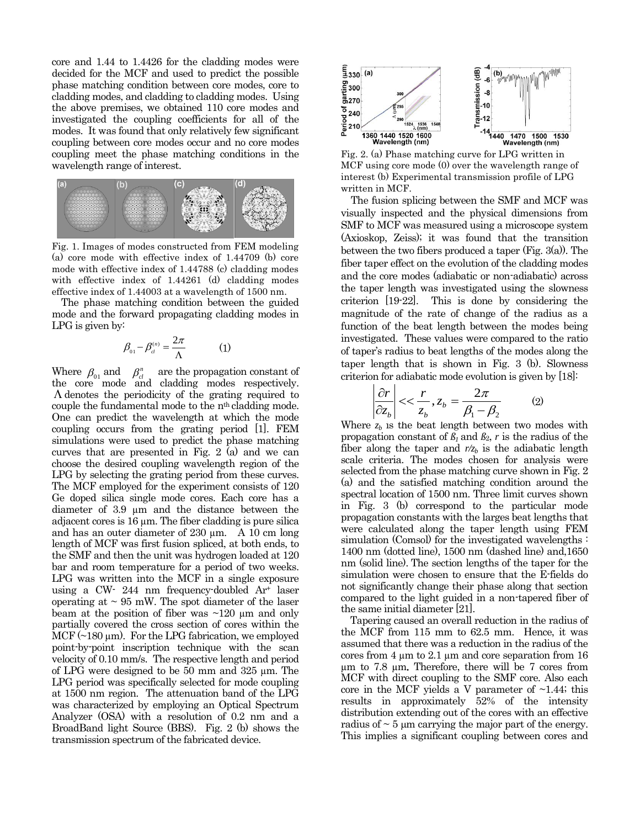core and 1.44 to 1.4426 for the cladding modes were decided for the MCF and used to predict the possible phase matching condition between core modes, core to cladding modes, and cladding to cladding modes. Using the above premises, we obtained 110 core modes and investigated the coupling coefficients for all of the modes. It was found that only relatively few significant coupling between core modes occur and no core modes coupling meet the phase matching conditions in the wavelength range of interest.



Fig. 1. Images of modes constructed from FEM modeling (a) core mode with effective index of 1.44709 (b) core mode with effective index of 1.44788 (c) cladding modes with effective index of 1.44261 (d) cladding modes effective index of 1.44003 at a wavelength of 1500 nm.

 The phase matching condition between the guided mode and the forward propagating cladding modes in LPG is given by:

$$
\beta_{01} - \beta_{cl}^{(n)} = \frac{2\pi}{\Lambda} \tag{1}
$$

are the propagation constant of the core mode and cladding modes respectively.  $\Lambda$  denotes the periodicity of the grating required to couple the fundamental mode to the n<sup>th</sup> cladding mode. One can predict the wavelength at which the mode coupling occurs from the grating period [1]. FEM simulations were used to predict the phase matching curves that are presented in Fig. 2 (a) and we can choose the desired coupling wavelength region of the LPG by selecting the grating period from these curves. The MCF employed for the experiment consists of 120 Ge doped silica single mode cores. Each core has a diameter of 3.9 µm and the distance between the adjacent cores is  $16 \mu m$ . The fiber cladding is pure silica and has an outer diameter of 230 um. A 10 cm long length of MCF was first fusion spliced, at both ends, to the SMF and then the unit was hydrogen loaded at 120 bar and room temperature for a period of two weeks. LPG was written into the MCF in a single exposure using a CW- 244 nm frequency-doubled  $Ar^+$  laser operating at  $\sim$  95 mW. The spot diameter of the laser beam at the position of fiber was  $\sim$ 120  $\mu$ m and only partially covered the cross section of cores within the MCF  $(\sim 180 \,\mu m)$ . For the LPG fabrication, we employed point-by-point inscription technique with the scan velocity of 0.10 mm/s. The respective length and period of LPG were designed to be 50 mm and 325 µm. The LPG period was specifically selected for mode coupling at 1500 nm region. The attenuation band of the LPG was characterized by employing an Optical Spectrum Analyzer (OSA) with a resolution of 0.2 nm and a BroadBand light Source (BBS). Fig. 2 (b) shows the transmission spectrum of the fabricated device. Where  $\beta_{01}$  and  $\beta_{cl}^n$ 



Fig. 2. (a) Phase matching curve for LPG written in MCF using core mode (0) over the wavelength range of interest (b) Experimental transmission profile of LPG written in MCF.

The fusion splicing between the SMF and MCF was visually inspected and the physical dimensions from SMF to MCF was measured using a microscope system (Axioskop, Zeiss); it was found that the transition between the two fibers produced a taper (Fig. 3(a)). The fiber taper effect on the evolution of the cladding modes and the core modes (adiabatic or non-adiabatic) across the taper length was investigated using the slowness criterion [19-22]. This is done by considering the magnitude of the rate of change of the radius as a function of the beat length between the modes being investigated. These values were compared to the ratio of taper's radius to beat lengths of the modes along the taper length that is shown in Fig. 3 (b). Slowness criterion for adiabatic mode evolution is given by [18]:

$$
\left|\frac{\partial r}{\partial z_b}\right| << \frac{r}{z_b}, z_b = \frac{2\pi}{\beta_1 - \beta_2} \tag{2}
$$

Where  $z_b$  is the beat length between two modes with propagation constant of  $\beta_1$  and  $\beta_2$ , *r* is the radius of the fiber along the taper and  $r/z_b$  is the adiabatic length scale criteria. The modes chosen for analysis were selected from the phase matching curve shown in Fig. 2 (a) and the satisfied matching condition around the spectral location of 1500 nm. Three limit curves shown in Fig. 3 (b) correspond to the particular mode propagation constants with the larges beat lengths that were calculated along the taper length using FEM simulation (Comsol) for the investigated wavelengths : 1400 nm (dotted line), 1500 nm (dashed line) and,1650 nm (solid line). The section lengths of the taper for the simulation were chosen to ensure that the E-fields do not significantly change their phase along that section compared to the light guided in a non-tapered fiber of the same initial diameter [21].

Tapering caused an overall reduction in the radius of the MCF from 115 mm to 62.5 mm. Hence, it was assumed that there was a reduction in the radius of the cores from  $4 \mu m$  to  $2.1 \mu m$  and core separation from  $16$ µm to 7.8 µm. Therefore, there will be 7 cores from MCF with direct coupling to the SMF core. Also each core in the MCF yields a V parameter of  $\sim$ 1.44; this results in approximately 52% of the intensity distribution extending out of the cores with an effective radius of  $\sim$  5 µm carrying the major part of the energy. This implies a significant coupling between cores and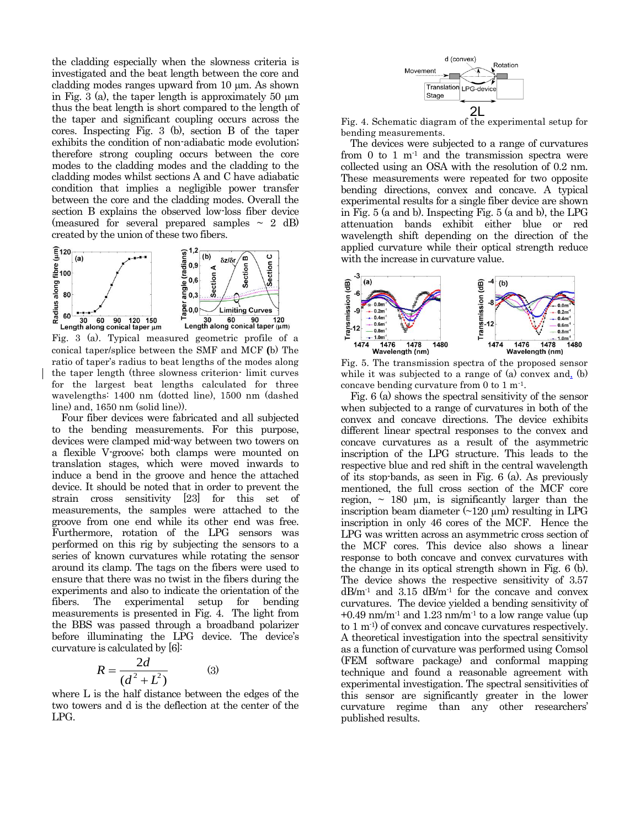the cladding especially when the slowness criteria is investigated and the beat length between the core and cladding modes ranges upward from  $10 \mu m$ . As shown in Fig. 3 (a), the taper length is approximately 50  $\mu$ m thus the beat length is short compared to the length of the taper and significant coupling occurs across the cores. Inspecting Fig. 3 (b), section B of the taper exhibits the condition of non-adiabatic mode evolution; therefore strong coupling occurs between the core modes to the cladding modes and the cladding to the cladding modes whilst sections A and C have adiabatic condition that implies a negligible power transfer between the core and the cladding modes. Overall the section B explains the observed low-loss fiber device (measured for several prepared samples  $\sim 2$  dB) created by the union of these two fibers.



Fig. 3 (a). Typical measured geometric profile of a conical taper/splice between the SMF and MCF **(**b) The ratio of taper's radius to beat lengths of the modes along the taper length (three slowness criterion- limit curves for the largest beat lengths calculated for three wavelengths: 1400 nm (dotted line), 1500 nm (dashed line) and, 1650 nm (solid line)).

Four fiber devices were fabricated and all subjected to the bending measurements. For this purpose, devices were clamped mid-way between two towers on a flexible V-groove; both clamps were mounted on translation stages, which were moved inwards to induce a bend in the groove and hence the attached device. It should be noted that in order to prevent the strain cross sensitivity [23] for this set of measurements, the samples were attached to the groove from one end while its other end was free. Furthermore, rotation of the LPG sensors was performed on this rig by subjecting the sensors to a series of known curvatures while rotating the sensor around its clamp. The tags on the fibers were used to ensure that there was no twist in the fibers during the experiments and also to indicate the orientation of the fibers. The experimental setup for bending measurements is presented in Fig. 4. The light from the BBS was passed through a broadband polarizer before illuminating the LPG device. The device's curvature is calculated by [6]:

$$
R = \frac{2d}{\left(d^2 + L^2\right)}\tag{3}
$$

where L is the half distance between the edges of the two towers and d is the deflection at the center of the LPG.



Fig. 4. Schematic diagram of the experimental setup for bending measurements.

The devices were subjected to a range of curvatures from  $0$  to  $1 \text{ m}$ <sup>1</sup> and the transmission spectra were collected using an OSA with the resolution of 0.2 nm. These measurements were repeated for two opposite bending directions, convex and concave. A typical experimental results for a single fiber device are shown in Fig. 5 (a and b). Inspecting Fig. 5 (a and b), the LPG attenuation bands exhibit either blue or red wavelength shift depending on the direction of the applied curvature while their optical strength reduce with the increase in curvature value.



Fig. 5. The transmission spectra of the proposed sensor while it was subjected to a range of (a) convex and, (b) concave bending curvature from  $0$  to  $1 \text{ m}^{-1}$ .

Fig. 6 (a) shows the spectral sensitivity of the sensor when subjected to a range of curvatures in both of the convex and concave directions. The device exhibits different linear spectral responses to the convex and concave curvatures as a result of the asymmetric inscription of the LPG structure. This leads to the respective blue and red shift in the central wavelength of its stop-bands, as seen in Fig. 6 (a). As previously mentioned, the full cross section of the MCF core region,  $\sim$  180  $\mu$ m, is significantly larger than the inscription beam diameter  $(\sim 120 \mu m)$  resulting in LPG inscription in only 46 cores of the MCF. Hence the LPG was written across an asymmetric cross section of the MCF cores. This device also shows a linear response to both concave and convex curvatures with the change in its optical strength shown in Fig. 6 (b). The device shows the respective sensitivity of 3.57 dB/m-1 and 3.15 dB/m-1 for the concave and convex curvatures. The device yielded a bending sensitivity of  $+0.49$  nm/m<sup>-1</sup> and 1.23 nm/m<sup>-1</sup> to a low range value (up to 1 m-1) of convex and concave curvatures respectively. A theoretical investigation into the spectral sensitivity as a function of curvature was performed using Comsol (FEM software package) and conformal mapping technique and found a reasonable agreement with experimental investigation. The spectral sensitivities of this sensor are significantly greater in the lower curvature regime than any other researchers' published results.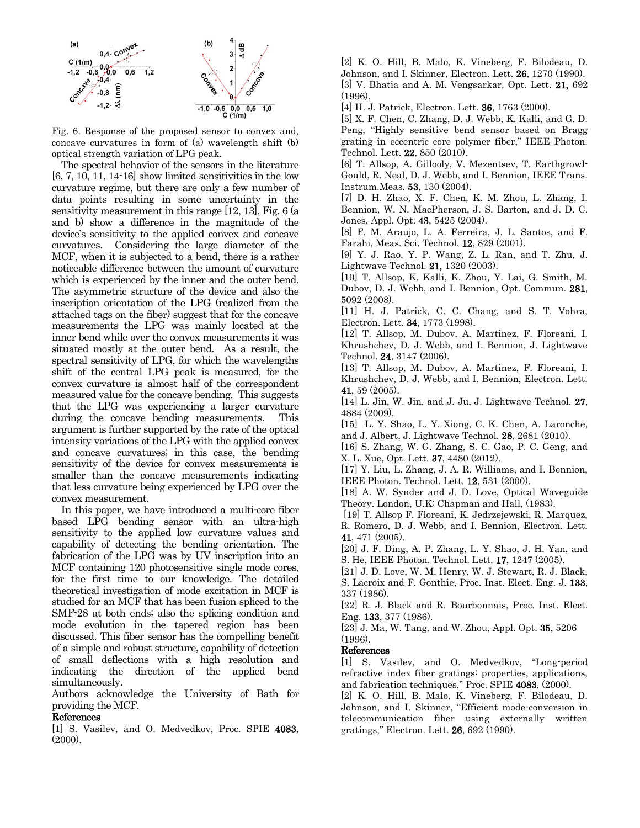

Fig. 6. Response of the proposed sensor to convex and, concave curvatures in form of (a) wavelength shift (b) optical strength variation of LPG peak.

The spectral behavior of the sensors in the literature  $[6, 7, 10, 11, 14-16]$  show limited sensitivities in the low curvature regime, but there are only a few number of data points resulting in some uncertainty in the sensitivity measurement in this range [12, 13]. Fig. 6 (a and b) show a difference in the magnitude of the device's sensitivity to the applied convex and concave curvatures. Considering the large diameter of the MCF, when it is subjected to a bend, there is a rather noticeable difference between the amount of curvature which is experienced by the inner and the outer bend. The asymmetric structure of the device and also the inscription orientation of the LPG (realized from the attached tags on the fiber) suggest that for the concave measurements the LPG was mainly located at the inner bend while over the convex measurements it was situated mostly at the outer bend. As a result, the spectral sensitivity of LPG, for which the wavelengths shift of the central LPG peak is measured, for the convex curvature is almost half of the correspondent measured value for the concave bending. This suggests that the LPG was experiencing a larger curvature during the concave bending measurements. This argument is further supported by the rate of the optical intensity variations of the LPG with the applied convex and concave curvatures; in this case, the bending sensitivity of the device for convex measurements is smaller than the concave measurements indicating that less curvature being experienced by LPG over the convex measurement.

 In this paper, we have introduced a multi-core fiber based LPG bending sensor with an ultra-high sensitivity to the applied low curvature values and capability of detecting the bending orientation. The fabrication of the LPG was by UV inscription into an MCF containing 120 photosensitive single mode cores, for the first time to our knowledge. The detailed theoretical investigation of mode excitation in MCF is studied for an MCF that has been fusion spliced to the SMF-28 at both ends; also the splicing condition and mode evolution in the tapered region has been discussed. This fiber sensor has the compelling benefit of a simple and robust structure, capability of detection of small deflections with a high resolution and indicating the direction of the applied bend simultaneously.

Authors acknowledge the University of Bath for providing the MCF.

## References

[1] S. Vasilev, and O. Medvedkov, Proc. SPIE 4083, (2000).

[2] K. O. Hill, B. Malo, K. Vineberg, F. Bilodeau, D. Johnson, and I. Skinner, Electron. Lett. 26, 1270 (1990).

[3] V. Bhatia and A. M. Vengsarkar, Opt. Lett. 21, 692 (1996).

[4] H. J. Patrick, Electron. Lett. 36, 1763 (2000).

[5] X. F. Chen, C. Zhang, D. J. Webb, K. Kalli, and G. D. Peng, "Highly sensitive bend sensor based on Bragg grating in eccentric core polymer fiber," IEEE Photon. Technol. Lett. 22, 850 (2010).

[6] T. Allsop, A. Gillooly, V. Mezentsev, T. Earthgrowl-Gould, R. Neal, D. J. Webb, and I. Bennion, IEEE Trans. Instrum.Meas. 53, 130 (2004).

[7] D. H. Zhao, X. F. Chen, K. M. Zhou, L. Zhang, I. Bennion, W. N. MacPherson, J. S. Barton, and J. D. C. Jones, Appl. Opt. 43, 5425 (2004).

[8] F. M. Araujo, L. A. Ferreira, J. L. Santos, and F. Farahi, Meas. Sci. Technol. 12, 829 (2001).

[9] Y. J. Rao, Y. P. Wang, Z. L. Ran, and T. Zhu, J. Lightwave Technol. 21, 1320 (2003).

[10] T. Allsop, K. Kalli, K. Zhou, Y. Lai, G. Smith, M. Dubov, D. J. Webb, and I. Bennion, Opt. Commun. 281, 5092 (2008).

[11] H. J. Patrick, C. C. Chang, and S. T. Vohra, Electron. Lett. 34, 1773 (1998).

[12] T. Allsop, M. Dubov, A. Martinez, F. Floreani, I. Khrushchev, D. J. Webb, and I. Bennion, J. Lightwave Technol. 24, 3147 (2006).

[13] T. Allsop, M. Dubov, A. Martinez, F. Floreani, I. Khrushchev, D. J. Webb, and I. Bennion, Electron. Lett. 41, 59 (2005).

[14] L. Jin, W. Jin, and J. Ju, J. Lightwave Technol. 27, 4884 (2009).

[15] L. Y. Shao, L. Y. Xiong, C. K. Chen, A. Laronche, and J. Albert, J. Lightwave Technol. 28, 2681 (2010).

[16] S. Zhang, W. G. Zhang, S. C. Gao, P. C. Geng, and X. L. Xue, Opt. Lett. 37, 4480 (2012).

[17] Y. Liu, L. Zhang, J. A. R. Williams, and I. Bennion, IEEE Photon. Technol. Lett. 12, 531 (2000).

[18] A. W. Synder and J. D. Love, Optical Waveguide Theory. London, U.K: Chapman and Hall, (1983).

[19] T. Allsop F. Floreani, K. Jedrzejewski, R. Marquez, R. Romero, D. J. Webb, and I. Bennion, Electron. Lett. 41, 471 (2005).

[20] J. F. Ding, A. P. Zhang, L. Y. Shao, J. H. Yan, and S. He, IEEE Photon. Technol. Lett. 17, 1247 (2005).

[21] J. D. Love, W. M. Henry, W. J. Stewart, R. J. Black, S. Lacroix and F. Gonthie, Proc. Inst. Elect. Eng. J. 133, 337 (1986).

[22] R. J. Black and R. Bourbonnais, Proc. Inst. Elect. Eng. 133, 377 (1986).

[23] J. Ma, W. Tang, and W. Zhou, Appl. Opt. 35, 5206 (1996).

## References

[1] S. Vasilev, and O. Medvedkov, "Long-period refractive index fiber gratings: properties, applications, and fabrication techniques," Proc. SPIE 4083, (2000).

[2] K. O. Hill, B. Malo, K. Vineberg, F. Bilodeau, D. Johnson, and I. Skinner, "Efficient mode-conversion in telecommunication fiber using externally written gratings," Electron. Lett. 26, 692 (1990).